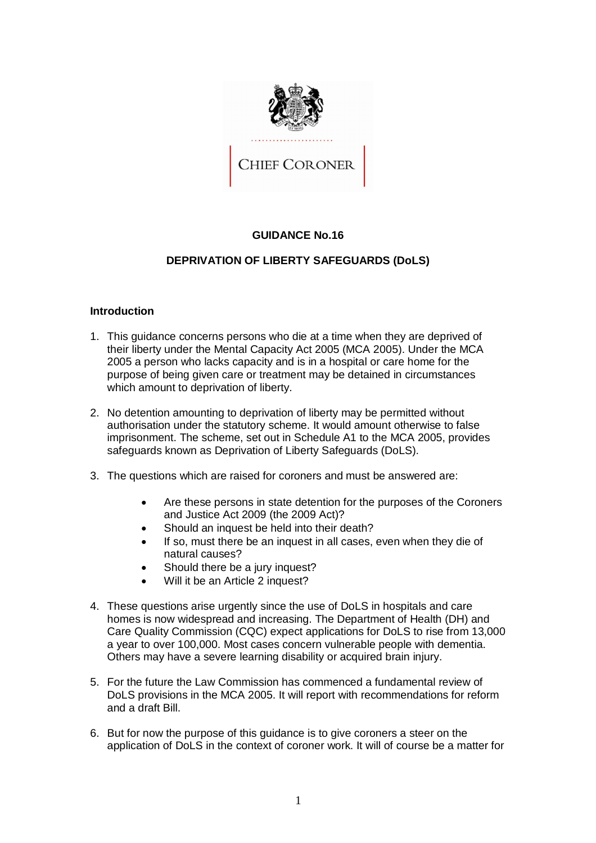

# **GUIDANCE No.16**

# **DEPRIVATION OF LIBERTY SAFEGUARDS (DoLS)**

# **Introduction**

- 1. This guidance concerns persons who die at a time when they are deprived of their liberty under the Mental Capacity Act 2005 (MCA 2005). Under the MCA 2005 a person who lacks capacity and is in a hospital or care home for the purpose of being given care or treatment may be detained in circumstances which amount to deprivation of liberty.
- 2. No detention amounting to deprivation of liberty may be permitted without authorisation under the statutory scheme. It would amount otherwise to false imprisonment. The scheme, set out in Schedule A1 to the MCA 2005, provides safeguards known as Deprivation of Liberty Safeguards (DoLS).
- 3. The questions which are raised for coroners and must be answered are:
	- Are these persons in state detention for the purposes of the Coroners and Justice Act 2009 (the 2009 Act)?
	- Should an inquest be held into their death?
	- If so, must there be an inquest in all cases, even when they die of natural causes?
	- Should there be a jury inquest?
	- Will it be an Article 2 inquest?
- 4. These questions arise urgently since the use of DoLS in hospitals and care homes is now widespread and increasing. The Department of Health (DH) and Care Quality Commission (CQC) expect applications for DoLS to rise from 13,000 a year to over 100,000. Most cases concern vulnerable people with dementia. Others may have a severe learning disability or acquired brain injury.
- 5. For the future the Law Commission has commenced a fundamental review of DoLS provisions in the MCA 2005. It will report with recommendations for reform and a draft Bill.
- 6. But for now the purpose of this guidance is to give coroners a steer on the application of DoLS in the context of coroner work. It will of course be a matter for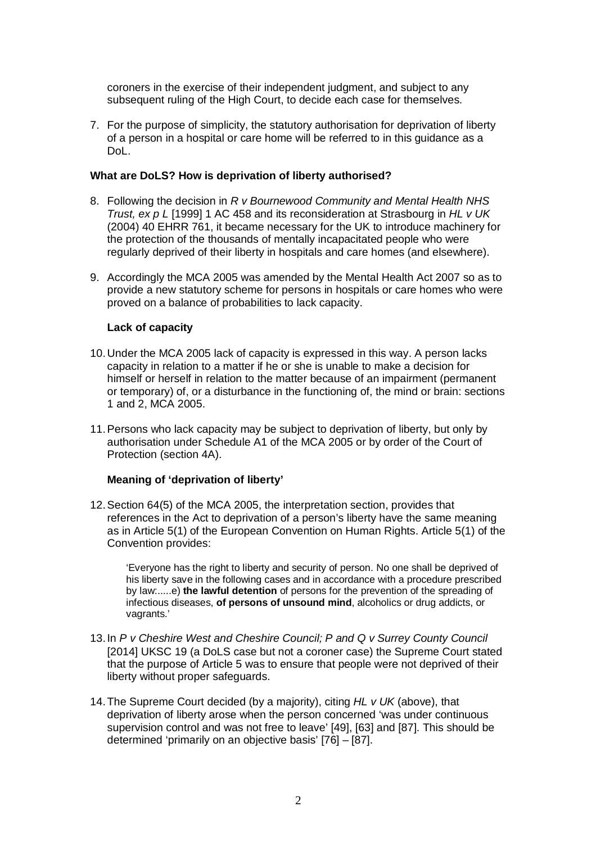coroners in the exercise of their independent judgment, and subject to any subsequent ruling of the High Court, to decide each case for themselves.

7. For the purpose of simplicity, the statutory authorisation for deprivation of liberty of a person in a hospital or care home will be referred to in this guidance as a DoL.

#### **What are DoLS? How is deprivation of liberty authorised?**

- 8. Following the decision in *R v Bournewood Community and Mental Health NHS Trust, ex p L* [1999] 1 AC 458 and its reconsideration at Strasbourg in *HL v UK*  (2004) 40 EHRR 761, it became necessary for the UK to introduce machinery for the protection of the thousands of mentally incapacitated people who were regularly deprived of their liberty in hospitals and care homes (and elsewhere).
- 9. Accordingly the MCA 2005 was amended by the Mental Health Act 2007 so as to provide a new statutory scheme for persons in hospitals or care homes who were proved on a balance of probabilities to lack capacity.

# **Lack of capacity**

- 10.Under the MCA 2005 lack of capacity is expressed in this way. A person lacks capacity in relation to a matter if he or she is unable to make a decision for himself or herself in relation to the matter because of an impairment (permanent or temporary) of, or a disturbance in the functioning of, the mind or brain: sections 1 and 2, MCA 2005.
- 11.Persons who lack capacity may be subject to deprivation of liberty, but only by authorisation under Schedule A1 of the MCA 2005 or by order of the Court of Protection (section 4A).

#### **Meaning of 'deprivation of liberty'**

12.Section 64(5) of the MCA 2005, the interpretation section, provides that references in the Act to deprivation of a person's liberty have the same meaning as in Article 5(1) of the European Convention on Human Rights. Article 5(1) of the Convention provides:

'Everyone has the right to liberty and security of person. No one shall be deprived of his liberty save in the following cases and in accordance with a procedure prescribed by law:.....e) **the lawful detention** of persons for the prevention of the spreading of infectious diseases, **of persons of unsound mind**, alcoholics or drug addicts, or vagrants.'

- 13.In *P v Cheshire West and Cheshire Council; P and Q v Surrey County Council* [2014] UKSC 19 (a DoLS case but not a coroner case) the Supreme Court stated that the purpose of Article 5 was to ensure that people were not deprived of their liberty without proper safeguards.
- 14.The Supreme Court decided (by a majority), citing *HL v UK* (above), that deprivation of liberty arose when the person concerned 'was under continuous supervision control and was not free to leave' [49], [63] and [87]. This should be determined 'primarily on an objective basis' [76] – [87].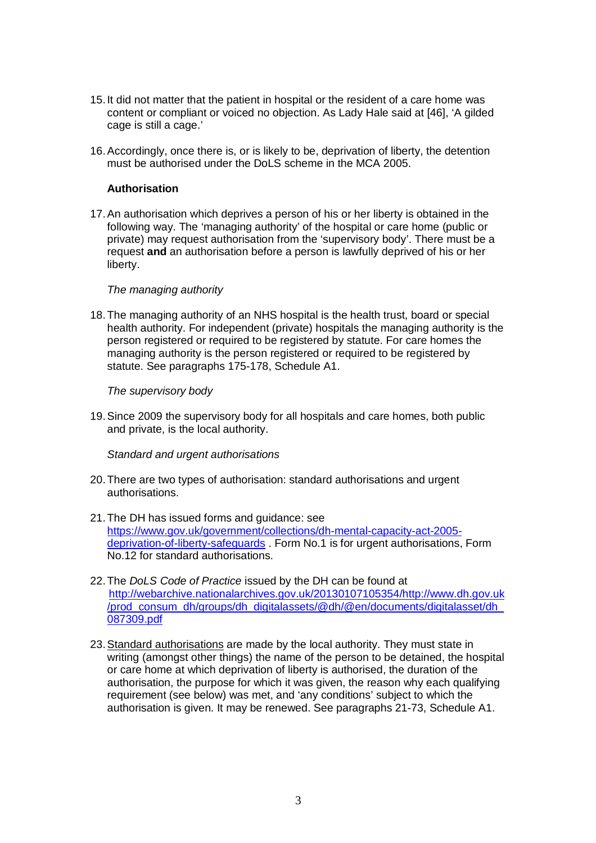- 15.It did not matter that the patient in hospital or the resident of a care home was content or compliant or voiced no objection. As Lady Hale said at [46], 'A gilded cage is still a cage.'
- 16.Accordingly, once there is, or is likely to be, deprivation of liberty, the detention must be authorised under the DoLS scheme in the MCA 2005.

### **Authorisation**

17.An authorisation which deprives a person of his or her liberty is obtained in the following way. The 'managing authority' of the hospital or care home (public or private) may request authorisation from the 'supervisory body'. There must be a request **and** an authorisation before a person is lawfully deprived of his or her liberty.

#### *The managing authority*

18.The managing authority of an NHS hospital is the health trust, board or special health authority. For independent (private) hospitals the managing authority is the person registered or required to be registered by statute. For care homes the managing authority is the person registered or required to be registered by statute. See paragraphs 175-178, Schedule A1.

*The supervisory body*

19.Since 2009 the supervisory body for all hospitals and care homes, both public and private, is the local authority.

*Standard and urgent authorisations*

- 20.There are two types of authorisation: standard authorisations and urgent authorisations.
- 21.The DH has issued forms and guidance: see https://www.gov.uk/government/collections/dh-mental-capacity-act-2005 deprivation-of-liberty-safeguards . Form No.1 is for urgent authorisations, Form No.12 for standard authorisations.
- 22.The *DoLS Code of Practice* issued by the DH can be found at http://webarchive.nationalarchives.gov.uk/20130107105354/http://www.dh.gov.uk /prod\_consum\_dh/groups/dh\_digitalassets/@dh/@en/documents/digitalasset/dh\_ 087309.pdf
- 23.Standard authorisations are made by the local authority. They must state in writing (amongst other things) the name of the person to be detained, the hospital or care home at which deprivation of liberty is authorised, the duration of the authorisation, the purpose for which it was given, the reason why each qualifying requirement (see below) was met, and 'any conditions' subject to which the authorisation is given. It may be renewed. See paragraphs 21-73, Schedule A1.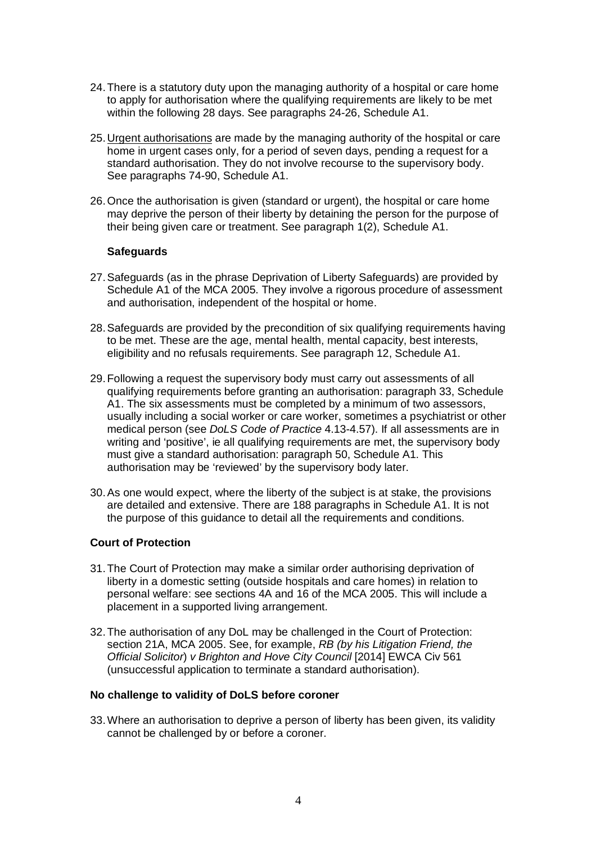- 24.There is a statutory duty upon the managing authority of a hospital or care home to apply for authorisation where the qualifying requirements are likely to be met within the following 28 days. See paragraphs 24-26, Schedule A1.
- 25.Urgent authorisations are made by the managing authority of the hospital or care home in urgent cases only, for a period of seven days, pending a request for a standard authorisation. They do not involve recourse to the supervisory body. See paragraphs 74-90, Schedule A1.
- 26.Once the authorisation is given (standard or urgent), the hospital or care home may deprive the person of their liberty by detaining the person for the purpose of their being given care or treatment. See paragraph 1(2), Schedule A1.

#### **Safeguards**

- 27.Safeguards (as in the phrase Deprivation of Liberty Safeguards) are provided by Schedule A1 of the MCA 2005. They involve a rigorous procedure of assessment and authorisation, independent of the hospital or home.
- 28.Safeguards are provided by the precondition of six qualifying requirements having to be met. These are the age, mental health, mental capacity, best interests, eligibility and no refusals requirements. See paragraph 12, Schedule A1.
- 29.Following a request the supervisory body must carry out assessments of all qualifying requirements before granting an authorisation: paragraph 33, Schedule A1. The six assessments must be completed by a minimum of two assessors, usually including a social worker or care worker, sometimes a psychiatrist or other medical person (see *DoLS Code of Practice* 4.13-4.57). If all assessments are in writing and 'positive', ie all qualifying requirements are met, the supervisory body must give a standard authorisation: paragraph 50, Schedule A1. This authorisation may be 'reviewed' by the supervisory body later.
- 30.As one would expect, where the liberty of the subject is at stake, the provisions are detailed and extensive. There are 188 paragraphs in Schedule A1. It is not the purpose of this guidance to detail all the requirements and conditions.

#### **Court of Protection**

- 31.The Court of Protection may make a similar order authorising deprivation of liberty in a domestic setting (outside hospitals and care homes) in relation to personal welfare: see sections 4A and 16 of the MCA 2005. This will include a placement in a supported living arrangement.
- 32.The authorisation of any DoL may be challenged in the Court of Protection: section 21A, MCA 2005. See, for example, *RB (by his Litigation Friend, the Official Solicitor*) *v Brighton and Hove City Council* [2014] EWCA Civ 561 (unsuccessful application to terminate a standard authorisation).

#### **No challenge to validity of DoLS before coroner**

33.Where an authorisation to deprive a person of liberty has been given, its validity cannot be challenged by or before a coroner.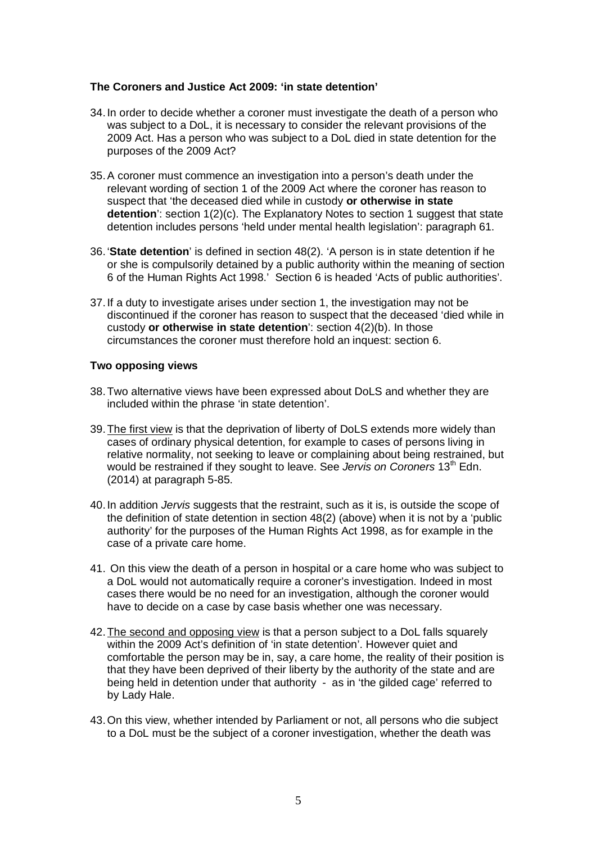# **The Coroners and Justice Act 2009: 'in state detention'**

- 34.In order to decide whether a coroner must investigate the death of a person who was subject to a DoL, it is necessary to consider the relevant provisions of the 2009 Act. Has a person who was subject to a DoL died in state detention for the purposes of the 2009 Act?
- 35.A coroner must commence an investigation into a person's death under the relevant wording of section 1 of the 2009 Act where the coroner has reason to suspect that 'the deceased died while in custody **or otherwise in state detention**': section 1(2)(c). The Explanatory Notes to section 1 suggest that state detention includes persons 'held under mental health legislation': paragraph 61.
- 36.'**State detention**' is defined in section 48(2). 'A person is in state detention if he or she is compulsorily detained by a public authority within the meaning of section 6 of the Human Rights Act 1998.' Section 6 is headed 'Acts of public authorities'.
- 37.If a duty to investigate arises under section 1, the investigation may not be discontinued if the coroner has reason to suspect that the deceased 'died while in custody **or otherwise in state detention**': section 4(2)(b). In those circumstances the coroner must therefore hold an inquest: section 6.

# **Two opposing views**

- 38.Two alternative views have been expressed about DoLS and whether they are included within the phrase 'in state detention'.
- 39.The first view is that the deprivation of liberty of DoLS extends more widely than cases of ordinary physical detention, for example to cases of persons living in relative normality, not seeking to leave or complaining about being restrained, but would be restrained if they sought to leave. See *Jervis on Coroners* 13<sup>th</sup> Edn. (2014) at paragraph 5-85.
- 40.In addition *Jervis* suggests that the restraint, such as it is, is outside the scope of the definition of state detention in section 48(2) (above) when it is not by a 'public authority' for the purposes of the Human Rights Act 1998, as for example in the case of a private care home.
- 41. On this view the death of a person in hospital or a care home who was subject to a DoL would not automatically require a coroner's investigation. Indeed in most cases there would be no need for an investigation, although the coroner would have to decide on a case by case basis whether one was necessary.
- 42.The second and opposing view is that a person subject to a DoL falls squarely within the 2009 Act's definition of 'in state detention'. However quiet and comfortable the person may be in, say, a care home, the reality of their position is that they have been deprived of their liberty by the authority of the state and are being held in detention under that authority - as in 'the gilded cage' referred to by Lady Hale.
- 43.On this view, whether intended by Parliament or not, all persons who die subject to a DoL must be the subject of a coroner investigation, whether the death was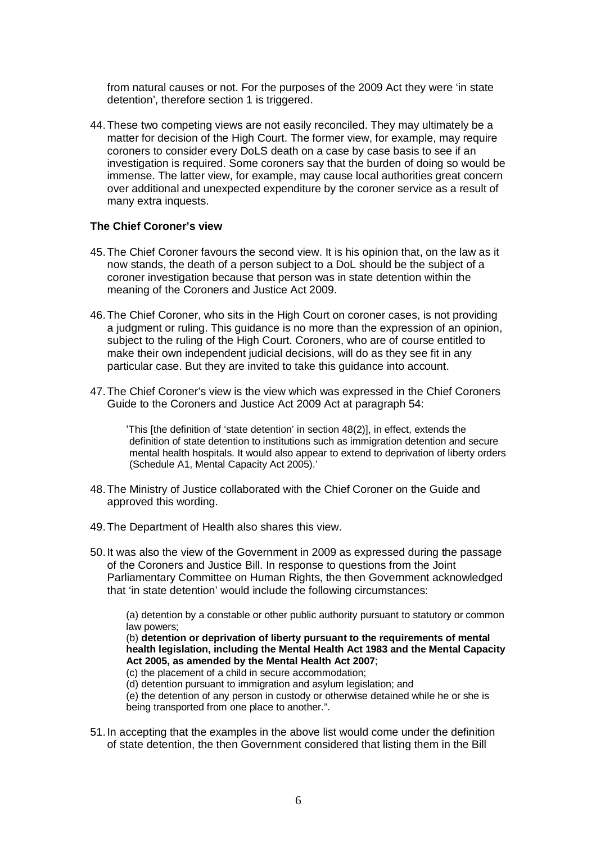from natural causes or not. For the purposes of the 2009 Act they were 'in state detention', therefore section 1 is triggered.

44.These two competing views are not easily reconciled. They may ultimately be a matter for decision of the High Court. The former view, for example, may require coroners to consider every DoLS death on a case by case basis to see if an investigation is required. Some coroners say that the burden of doing so would be immense. The latter view, for example, may cause local authorities great concern over additional and unexpected expenditure by the coroner service as a result of many extra inquests.

### **The Chief Coroner's view**

- 45.The Chief Coroner favours the second view. It is his opinion that, on the law as it now stands, the death of a person subject to a DoL should be the subject of a coroner investigation because that person was in state detention within the meaning of the Coroners and Justice Act 2009.
- 46.The Chief Coroner, who sits in the High Court on coroner cases, is not providing a judgment or ruling. This guidance is no more than the expression of an opinion, subject to the ruling of the High Court. Coroners, who are of course entitled to make their own independent judicial decisions, will do as they see fit in any particular case. But they are invited to take this guidance into account.
- 47.The Chief Coroner's view is the view which was expressed in the Chief Coroners Guide to the Coroners and Justice Act 2009 Act at paragraph 54:

'This [the definition of 'state detention' in section 48(2)], in effect, extends the definition of state detention to institutions such as immigration detention and secure mental health hospitals. It would also appear to extend to deprivation of liberty orders (Schedule A1, Mental Capacity Act 2005).'

- 48.The Ministry of Justice collaborated with the Chief Coroner on the Guide and approved this wording.
- 49.The Department of Health also shares this view.
- 50.It was also the view of the Government in 2009 as expressed during the passage of the Coroners and Justice Bill. In response to questions from the Joint Parliamentary Committee on Human Rights, the then Government acknowledged that 'in state detention' would include the following circumstances:

(a) detention by a constable or other public authority pursuant to statutory or common law powers;

(b) **detention or deprivation of liberty pursuant to the requirements of mental health legislation, including the Mental Health Act 1983 and the Mental Capacity Act 2005, as amended by the Mental Health Act 2007**;

- (c) the placement of a child in secure accommodation;
- (d) detention pursuant to immigration and asylum legislation; and

(e) the detention of any person in custody or otherwise detained while he or she is being transported from one place to another.".

51.In accepting that the examples in the above list would come under the definition of state detention, the then Government considered that listing them in the Bill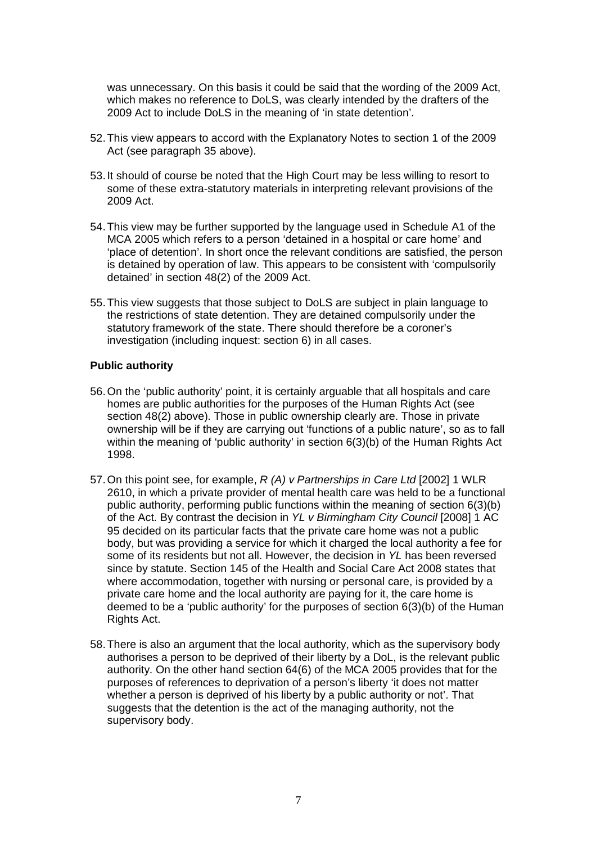was unnecessary. On this basis it could be said that the wording of the 2009 Act, which makes no reference to DoLS, was clearly intended by the drafters of the 2009 Act to include DoLS in the meaning of 'in state detention'.

- 52.This view appears to accord with the Explanatory Notes to section 1 of the 2009 Act (see paragraph 35 above).
- 53.It should of course be noted that the High Court may be less willing to resort to some of these extra-statutory materials in interpreting relevant provisions of the 2009 Act.
- 54.This view may be further supported by the language used in Schedule A1 of the MCA 2005 which refers to a person 'detained in a hospital or care home' and 'place of detention'. In short once the relevant conditions are satisfied, the person is detained by operation of law. This appears to be consistent with 'compulsorily detained' in section 48(2) of the 2009 Act.
- 55.This view suggests that those subject to DoLS are subject in plain language to the restrictions of state detention. They are detained compulsorily under the statutory framework of the state. There should therefore be a coroner's investigation (including inquest: section 6) in all cases.

#### **Public authority**

- 56.On the 'public authority' point, it is certainly arguable that all hospitals and care homes are public authorities for the purposes of the Human Rights Act (see section 48(2) above). Those in public ownership clearly are. Those in private ownership will be if they are carrying out 'functions of a public nature', so as to fall within the meaning of 'public authority' in section 6(3)(b) of the Human Rights Act 1998.
- 57.On this point see, for example, *R (A) v Partnerships in Care Ltd* [2002] 1 WLR 2610, in which a private provider of mental health care was held to be a functional public authority, performing public functions within the meaning of section 6(3)(b) of the Act. By contrast the decision in *YL v Birmingham City Council* [2008] 1 AC 95 decided on its particular facts that the private care home was not a public body, but was providing a service for which it charged the local authority a fee for some of its residents but not all. However, the decision in *YL* has been reversed since by statute. Section 145 of the Health and Social Care Act 2008 states that where accommodation, together with nursing or personal care, is provided by a private care home and the local authority are paying for it, the care home is deemed to be a 'public authority' for the purposes of section 6(3)(b) of the Human Rights Act.
- 58.There is also an argument that the local authority, which as the supervisory body authorises a person to be deprived of their liberty by a DoL, is the relevant public authority. On the other hand section 64(6) of the MCA 2005 provides that for the purposes of references to deprivation of a person's liberty 'it does not matter whether a person is deprived of his liberty by a public authority or not'. That suggests that the detention is the act of the managing authority, not the supervisory body.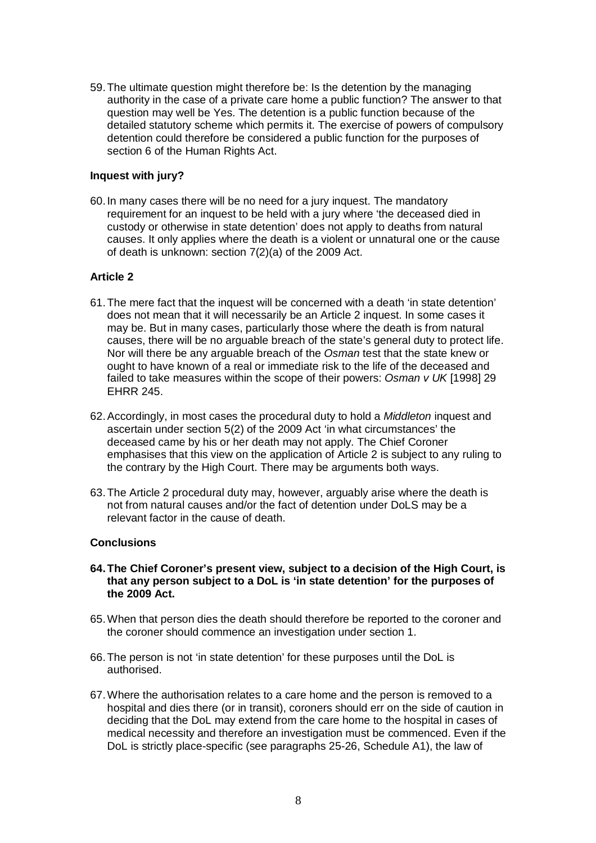59.The ultimate question might therefore be: Is the detention by the managing authority in the case of a private care home a public function? The answer to that question may well be Yes. The detention is a public function because of the detailed statutory scheme which permits it. The exercise of powers of compulsory detention could therefore be considered a public function for the purposes of section 6 of the Human Rights Act.

# **Inquest with jury?**

60.In many cases there will be no need for a jury inquest. The mandatory requirement for an inquest to be held with a jury where 'the deceased died in custody or otherwise in state detention' does not apply to deaths from natural causes. It only applies where the death is a violent or unnatural one or the cause of death is unknown: section 7(2)(a) of the 2009 Act.

# **Article 2**

- 61.The mere fact that the inquest will be concerned with a death 'in state detention' does not mean that it will necessarily be an Article 2 inquest. In some cases it may be. But in many cases, particularly those where the death is from natural causes, there will be no arguable breach of the state's general duty to protect life. Nor will there be any arguable breach of the *Osman* test that the state knew or ought to have known of a real or immediate risk to the life of the deceased and failed to take measures within the scope of their powers: *Osman v UK* [1998] 29 EHRR 245.
- 62.Accordingly, in most cases the procedural duty to hold a *Middleton* inquest and ascertain under section 5(2) of the 2009 Act 'in what circumstances' the deceased came by his or her death may not apply. The Chief Coroner emphasises that this view on the application of Article 2 is subject to any ruling to the contrary by the High Court. There may be arguments both ways.
- 63.The Article 2 procedural duty may, however, arguably arise where the death is not from natural causes and/or the fact of detention under DoLS may be a relevant factor in the cause of death.

# **Conclusions**

- **64.The Chief Coroner's present view, subject to a decision of the High Court, is that any person subject to a DoL is 'in state detention' for the purposes of the 2009 Act.**
- 65.When that person dies the death should therefore be reported to the coroner and the coroner should commence an investigation under section 1.
- 66.The person is not 'in state detention' for these purposes until the DoL is authorised.
- 67.Where the authorisation relates to a care home and the person is removed to a hospital and dies there (or in transit), coroners should err on the side of caution in deciding that the DoL may extend from the care home to the hospital in cases of medical necessity and therefore an investigation must be commenced. Even if the DoL is strictly place-specific (see paragraphs 25-26, Schedule A1), the law of